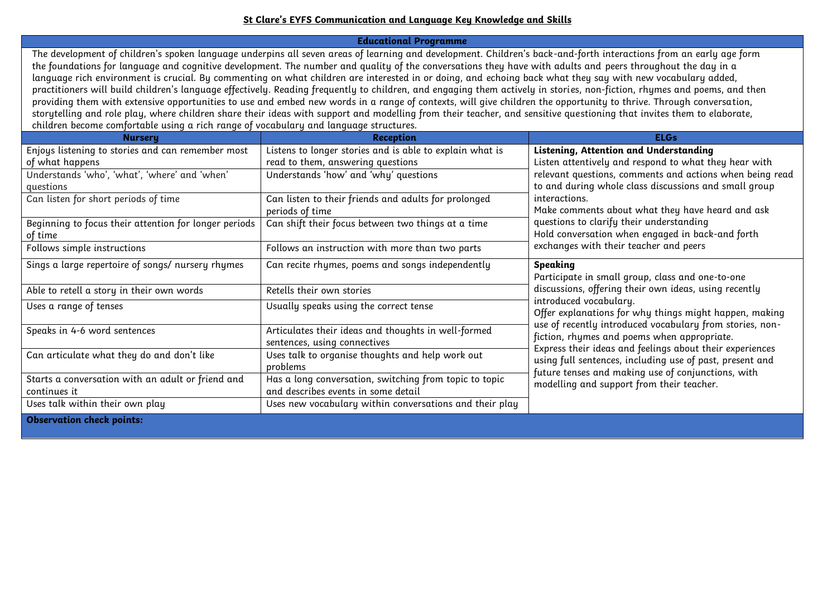## **St Clare's EYFS Communication and Language Key Knowledge and Skills**

**Educational Programme**

The development of children's spoken language underpins all seven areas of learning and development. Children's back-and-forth interactions from an early age form the foundations for language and cognitive development. The number and quality of the conversations they have with adults and peers throughout the day in a language rich environment is crucial. By commenting on what children are interested in or doing, and echoing back what they say with new vocabulary added, practitioners will build children's language effectively. Reading frequently to children, and engaging them actively in stories, non-fiction, rhymes and poems, and then providing them with extensive opportunities to use and embed new words in a range of contexts, will give children the opportunity to thrive. Through conversation, storytelling and role play, where children share their ideas with support and modelling from their teacher, and sensitive questioning that invites them to elaborate, children become comfortable using a rich range of vocabulary and language structures.

| <b>Nursery</b>                                        | <b>Reception</b>                                         | <b>ELGs</b>                                                                                                                                                                                                                                                                               |
|-------------------------------------------------------|----------------------------------------------------------|-------------------------------------------------------------------------------------------------------------------------------------------------------------------------------------------------------------------------------------------------------------------------------------------|
| Enjoys listening to stories and can remember most     | Listens to longer stories and is able to explain what is | Listening, Attention and Understanding<br>Listen attentively and respond to what they hear with<br>relevant questions, comments and actions when being read<br>to and during whole class discussions and small group<br>interactions.<br>Make comments about what they have heard and ask |
| of what happens                                       | read to them, answering questions                        |                                                                                                                                                                                                                                                                                           |
| Understands 'who', 'what', 'where' and 'when'         | Understands 'how' and 'why' questions                    |                                                                                                                                                                                                                                                                                           |
| questions                                             |                                                          |                                                                                                                                                                                                                                                                                           |
| Can listen for short periods of time                  | Can listen to their friends and adults for prolonged     |                                                                                                                                                                                                                                                                                           |
|                                                       | periods of time                                          |                                                                                                                                                                                                                                                                                           |
| Beginning to focus their attention for longer periods | Can shift their focus between two things at a time       | questions to clarify their understanding                                                                                                                                                                                                                                                  |
| of time                                               |                                                          | Hold conversation when engaged in back-and forth<br>exchanges with their teacher and peers                                                                                                                                                                                                |
| Follows simple instructions                           | Follows an instruction with more than two parts          |                                                                                                                                                                                                                                                                                           |
| Sings a large repertoire of songs/ nursery rhymes     | Can recite rhymes, poems and songs independently         | Speaking                                                                                                                                                                                                                                                                                  |
|                                                       |                                                          | Participate in small group, class and one-to-one                                                                                                                                                                                                                                          |
| Able to retell a story in their own words             | Retells their own stories                                | discussions, offering their own ideas, using recently                                                                                                                                                                                                                                     |
| Uses a range of tenses                                | Usually speaks using the correct tense                   | introduced vocabulary.<br>Offer explanations for why things might happen, making                                                                                                                                                                                                          |
|                                                       |                                                          | use of recently introduced vocabulary from stories, non-                                                                                                                                                                                                                                  |
| Speaks in 4-6 word sentences                          | Articulates their ideas and thoughts in well-formed      | fiction, rhymes and poems when appropriate.                                                                                                                                                                                                                                               |
|                                                       | sentences, using connectives                             | Express their ideas and feelings about their experiences                                                                                                                                                                                                                                  |
| Can articulate what they do and don't like            | Uses talk to organise thoughts and help work out         | using full sentences, including use of past, present and                                                                                                                                                                                                                                  |
|                                                       | problems                                                 | future tenses and making use of conjunctions, with                                                                                                                                                                                                                                        |
| Starts a conversation with an adult or friend and     | Has a long conversation, switching from topic to topic   | modelling and support from their teacher.                                                                                                                                                                                                                                                 |
| continues it                                          | and describes events in some detail                      |                                                                                                                                                                                                                                                                                           |
| Uses talk within their own play                       | Uses new vocabulary within conversations and their play  |                                                                                                                                                                                                                                                                                           |
| <b>Observation check points:</b>                      |                                                          |                                                                                                                                                                                                                                                                                           |